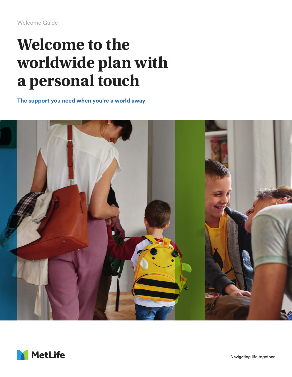# **Welcome to the worldwide plan with a personal touch**

**The support you need when you're a world away**



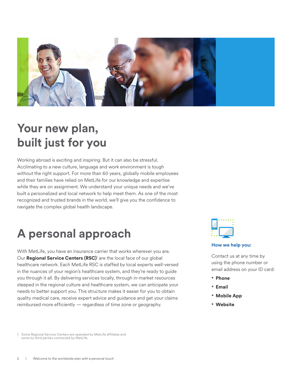

## **Your new plan, built just for you**

Working abroad is exciting and inspiring. But it can also be stressful. Acclimating to a new culture, language and work environment is tough without the right support. For more than 60 years, globally mobile employees and their families have relied on MetLife for our knowledge and expertise while they are on assignment. We understand your unique needs and we've built a personalized and local network to help meet them. As one of the most recognized and trusted brands in the world, we'll give you the confidence to navigate the complex global health landscape.

## **A personal approach**

With MetLife, you have an insurance carrier that works wherever you are. Our Regional Service Centers (RSC)<sup>1</sup> are the local face of our global healthcare network. Each MetLife RSC is staffed by local experts well-versed in the nuances of your region's healthcare system, and they're ready to guide you through it all. By delivering services locally, through in-market resources steeped in the regional culture and healthcare system, we can anticipate your needs to better support you. This structure makes it easier for you to obtain quality medical care, receive expert advice and guidance and get your claims reimbursed more efficiently — regardless of time zone or geography.



#### **How we help you:**

Contact us at any time by using the phone number or email address on your ID card:

- **Phone**
- **Email**
- **Mobile App**
- **Website**

1. Some Regional Service Centers are operated by MetLife affiliates and some by third parties contracted by MetLife.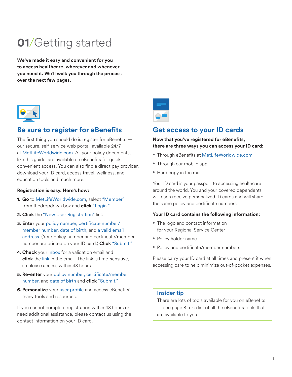## **01**/Getting started

**We've made it easy and convenient for you to access healthcare, wherever and whenever you need it. We'll walk you through the process over the next few pages.**



### **Be sure to register for eBenefits**

The first thing you should do is register for eBenefits our secure, self-service web portal, available 24/7 at MetLifeWorldwide.com. All your policy documents, like this guide, are available on eBenefits for quick, convenient access. You can also find a direct pay provider, download your ID card, access travel, wellness, and education tools and much more.

#### **Registration is easy. Here's how:**

- **1. Go** to MetLifeWorldwide.com, select "Member" from thedropdown box and **click** "Login."
- **2. Click** the "New User Registration" link.
- **3. Enter** your policy number, certificate number/ member number, date of birth, and a valid email address. (Your policy number and certificate/member number are printed on your ID card.) **Click** "Submit."
- **4. Check** your inbox for a validation email and **click** the link in the email. The link is time-sensitive, so please access within 48 hours.
- **5. Re-enter** your policy number, certificate/member number, and date of birth and **click** "Submit."
- **6. Personalize** your user profile and access eBenefits' many tools and resources.

If you cannot complete registration within 48 hours or need additional assistance, please contact us using the contact information on your ID card.



### **Get access to your ID cards**

#### **Now that you've registered for eBenefits, there are three ways you can access your ID card:**

- Through eBenefits at MetLifeWorldwide.com
- Through our mobile app
- Hard copy in the mail

Your ID card is your passport to accessing healthcare around the world. You and your covered dependents will each receive personalized ID cards and will share the same policy and certificate numbers.

#### **Your ID card contains the following information:**

- The logo and contact information for your Regional Service Center
- Policy holder name
- Policy and certificate/member numbers

Please carry your ID card at all times and present it when accessing care to help minimize out-of-pocket expenses.

#### **Insider tip**

There are lots of tools available for you on eBenefits — see page 8 for a list of all the eBenefits tools that are available to you.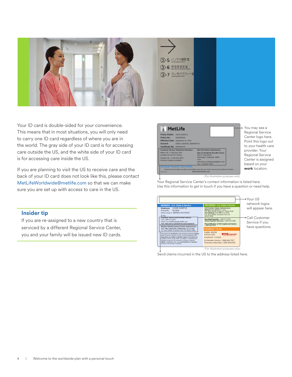

Your ID card is double-sided for your convenience. This means that in most situations, you will only need to carry one ID card regardless of where you are in the world. The gray side of your ID card is for accessing care outside the US, and the white side of your ID card is for accessing care inside the US.

If you are planning to visit the US to receive care and the back of your ID card does not look like this, please contact MetLifeWorldwide@metlife.com so that we can make sure you are set up with access to care in the US.

#### **Insider tip**

If you are re-assigned to a new country that is serviced by a different Regional Service Center, you and your family will be issued new ID cards.



Your Regional Service Center's contact information is listed here. Use this information to get in touch if you have a question or need help.



Send claims incurred in the US to the address listed here.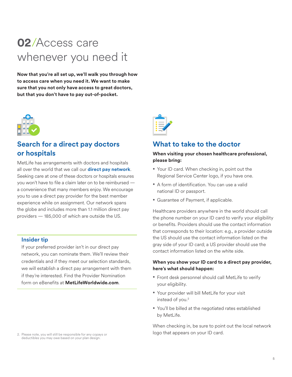## **02**/Access care whenever you need it

**Now that you're all set up, we'll walk you through how to access care when you need it. We want to make sure that you not only have access to great doctors, but that you don't have to pay out-of-pocket.** 



## **Search for a direct pay doctors or hospitals**

MetLife has arrangements with doctors and hospitals all over the world that we call our **direct pay network**. Seeking care at one of these doctors or hospitals ensures you won't have to file a claim later on to be reimbursed a convenience that many members enjoy. We encourage you to use a direct pay provider for the best member experience while on assignment. Our network spans the globe and includes more than 1.1 million direct pay providers — 185,000 of which are outside the US.

#### **Insider tip**

If your preferred provider isn't in our direct pay network, you can nominate them. We'll review their credentials and if they meet our selection standards, we will establish a direct pay arrangement with them if they're interested. Find the Provider Nomination form on eBenefits at **MetLifeWorldwide.com**.

deductibles you may owe based on your plan design.



### **What to take to the doctor**

#### **When visiting your chosen healthcare professional, please bring:**

- Your ID card. When checking in, point out the Regional Service Center logo, if you have one.
- A form of identification. You can use a valid national ID or passport.
- Guarantee of Payment, if applicable.

Healthcare providers anywhere in the world should call the phone number on your ID card to verify your eligibility or benefits. Providers should use the contact information that corresponds to their location: e.g., a provider outside the US should use the contact information listed on the gray side of your ID card; a US provider should use the contact information listed on the white side.

#### **When you show your ID card to a direct pay provider, here's what should happen:**

- Front desk personnel should call MetLife to verify your eligibility.
- Your provider will bill MetLife for your visit instead of you.<sup>2</sup>
- You'll be billed at the negotiated rates established by MetLife.

When checking in, be sure to point out the local network 2. Please note, you will still be responsible for any copays or **Example 2. Please note, you will still be responsible for any copays or**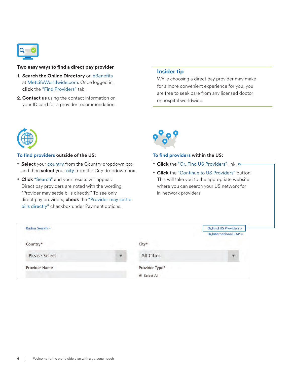

#### **Two easy ways to find a direct pay provider**

- **1. Search the Online Directory** on eBenefits at MetLifeWorldwide.com. Once logged in, **click** the "Find Providers" tab.
- **2. Contact us** using the contact information on your ID card for a provider recommendation.

#### **Insider tip**

While choosing a direct pay provider may make for a more convenient experience for you, you are free to seek care from any licensed doctor or hospital worldwide.



#### **To find providers outside of the US:**

- **Select** your country from the Country dropdown box and then **select** your city from the City dropdown box.
- **Click** "Search" and your results will appear. Direct pay providers are noted with the wording "Provider may settle bills directly." To see only direct pay providers, **check** the "Provider may settle bills directly" checkbox under Payment options.



#### **To find providers within the US:**

- **Click** the "Or, Find US Providers" link.
- **Click** the "Continue to US Providers" button. This will take you to the appropriate website where you can search your US network for in-network providers.

| Radius Search >      |                         |                | Or, Find US Providers > |
|----------------------|-------------------------|----------------|-------------------------|
|                      |                         |                | Or, International EAP > |
| Country*             |                         | City*          |                         |
| <b>Please Select</b> | $\overline{\mathbf{v}}$ | All Cities     | ٠                       |
| <b>Provider Name</b> |                         | Provider Type* |                         |
|                      |                         | Select All     |                         |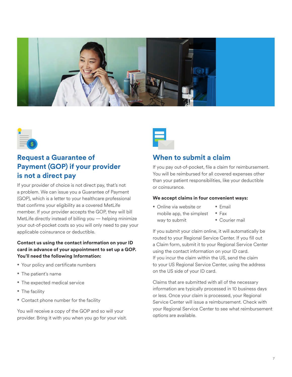



## **Request a Guarantee of Payment (GOP) if your provider is not a direct pay**

If your provider of choice is not direct pay, that's not a problem. We can issue you a Guarantee of Payment (GOP), which is a letter to your healthcare professional that confirms your eligibility as a covered MetLife member. If your provider accepts the GOP, they will bill MetLife directly instead of billing you — helping minimize your out-of-pocket costs so you will only need to pay your applicable coinsurance or deductible.

#### **Contact us using the contact information on your ID card in advance of your appointment to set up a GOP. You'll need the following Information:**

- Your policy and certificate numbers
- The patient's name
- The expected medical service
- The facility
- Contact phone number for the facility

You will receive a copy of the GOP and so will your provider. Bring it with you when you go for your visit.



### **When to submit a claim**

If you pay out-of-pocket, file a claim for reimbursement. You will be reimbursed for all covered expenses other than your patient responsibilities, like your deductible or coinsurance.

#### **We accept claims in four convenient ways:**

- Online via website or mobile app, the simplest way to submit
- Email
- Fax
	- Courier mail

If you submit your claim online, it will automatically be routed to your Regional Service Center. If you fill out a Claim form, submit it to your Regional Service Center using the contact information on your ID card. If you incur the claim within the US, send the claim to your US Regional Service Center, using the address on the US side of your ID card.

Claims that are submitted with all of the necessary information are typically processed in 10 business days or less. Once your claim is processed, your Regional Service Center will issue a reimbursement. Check with your Regional Service Center to see what reimbursement options are available.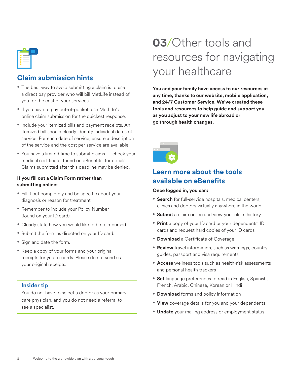## **Claim submission hints**

- The best way to avoid submitting a claim is to use a direct pay provider who will bill MetLife instead of you for the cost of your services.
- If you have to pay out-of-pocket, use MetLife's online claim submission for the quickest response.
- Include your itemized bills and payment receipts. An itemized bill should clearly identify individual dates of service. For each date of service, ensure a description of the service and the cost per service are available.
- You have a limited time to submit claims check your medical certificate, found on eBenefits, for details. Claims submitted after this deadline may be denied.

#### **If you fill out a Claim Form rather than submitting online:**

- Fill it out completely and be specific about your diagnosis or reason for treatment.
- Remember to include your Policy Number (found on your ID card).
- Clearly state how you would like to be reimbursed.
- Submit the form as directed on your ID card.
- Sign and date the form.
- Keep a copy of your forms and your original receipts for your records. Please do not send us your original receipts.

#### **Insider tip**

You do not have to select a doctor as your primary care physician, and you do not need a referral to see a specialist.

## **03**/Other tools and resources for navigating your healthcare

**You and your family have access to our resources at any time, thanks to our website, mobile application, and 24/7 Customer Service. We've created these tools and resources to help guide and support you as you adjust to your new life abroad or go through health changes.**



## **Learn more about the tools available on eBenefits**

#### **Once logged in, you can:**

- **Search** for full-service hospitals, medical centers, clinics and doctors virtually anywhere in the world
- **Submit** a claim online and view your claim history
- **Print** a copy of your ID card or your dependents' ID cards and request hard copies of your ID cards
- **Download** a Certificate of Coverage
- **Review** travel information, such as warnings, country guides, passport and visa requirements
- **Access** wellness tools such as health-risk assessments and personal health trackers
- **Set** language preferences to read in English, Spanish, French, Arabic, Chinese, Korean or Hindi
- **Download** forms and policy information
- **View** coverage details for you and your dependents
- **Update** your mailing address or employment status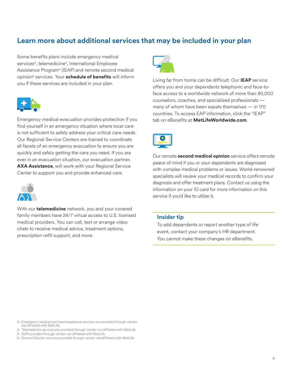### **Learn more about additional services that may be included in your plan**

Some benefits plans include emergency medical services<sup>3</sup>, telemedicine<sup>4</sup>, International Employee Assistance Program<sup>5</sup> (IEAP) and remote second medical opinion6 services. Your **schedule of benefits** will inform you if these services are included in your plan.



Emergency medical evacuation provides protection if you find yourself in an emergency situation where local care is not sufficient to safely address your critical care needs. Our Regional Service Centers are trained to coordinate all facets of an emergency evacuation to ensure you are quickly and safely getting the care you need. If you are ever in an evacuation situation, our evacuation partner, **AXA Assistance**, will work with your Regional Service Center to support you and provide enhanced care.



With our **telemedicine** network, you and your covered family members have 24/7 virtual access to U.S. licensed medical providers. You can call, text or arrange video chats to receive medical advice, treatment options, prescription refill support, and more.



Living far from home can be difficult. Our **IEAP** service offers you and your dependents telephonic and face-toface access to a worldwide network of more than 80,000 counselors, coaches, and specialized professionals many of whom have been expats themselves — in 170 countries. To access EAP information, click the "IEAP" tab on eBenefits at **MetLifeWorldwide.com**.



Our remote **second medical opinion** service offers remote peace of mind if you or your dependents are diagnosed with complex medical problems or issues. World-renowned specialists will review your medical records to confirm your diagnosis and offer treatment plans. Contact us using the information on your ID card for more information on this service if you'd like to utilize it.

#### **Insider tip**

To add dependents or report another type of life event, contact your company's HR department. You cannot make these changes on eBenefits.

- 5. IEAP provided through vendor not affiliated with MetLife.
- 6. Second Opinion services provided through vendor not affiliated with MetLife.

<sup>3.</sup> Emergency medical and travel assistance services are provided through vendor not affiliated with MetLife.

<sup>4.</sup> Telemedicine services are provided through vendor not affiliated with MetLife.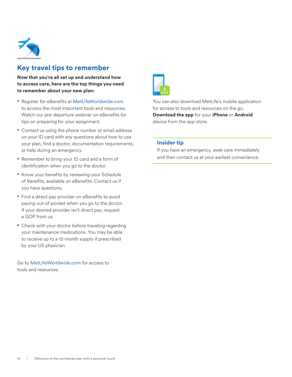

### **Key travel tips to remember**

**Now that you're all set up and understand how to access care, here are the top things you need to remember about your new plan:**

- Register for eBenefits at MetLifeWorldwide.com to access the most important tools and resources. Watch our pre-departure webinar on eBenefits for tips on preparing for your assignment.
- Contact us using the phone number or email address on your ID card with any questions about how to use your plan, find a doctor, documentation requirements, or help during an emergency.
- Remember to bring your ID card and a form of identification when you go to the doctor.
- Know your benefits by reviewing your Schedule of Benefits, available on eBenefits. Contact us if you have questions.
- Find a direct pay provider on eBenefits to avoid paying out-of-pocket when you go to the doctor. If your desired provider isn't direct pay, request a GOP from us.
- Check with your doctor before traveling regarding your maintenance medications. You may be able to receive up to a 12-month supply if prescribed by your US physician.

Go to MetLifeWorldwide.com for access to tools and resources.



You can also download MetLife's mobile application for access to tools and resources on the go. **Download the app** for your **iPhone** or **Android**  device from the app store.

#### **Insider tip**

If you have an emergency, seek care immediately and then contact us at your earliest convenience.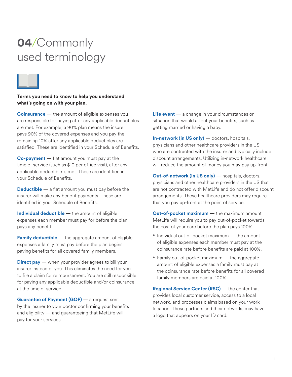## **04**/Commonly used terminology



**Terms you need to know to help you understand what's going on with your plan.**

**Coinsurance** — the amount of eligible expenses you are responsible for paying after any applicable deductibles are met. For example, a 90% plan means the insurer pays 90% of the covered expenses and you pay the remaining 10% after any applicable deductibles are satisfied. These are identified in your Schedule of Benefits.

**Co-payment** — flat amount you must pay at the time of service (such as \$10 per office visit), after any applicable deductible is met. These are identified in your Schedule of Benefits.

**Deductible** — a flat amount you must pay before the insurer will make any benefit payments. These are identified in your Schedule of Benefits.

**Individual deductible** — the amount of eligible expenses each member must pay for before the plan pays any benefit.

**Family deductible** — the aggregate amount of eligible expenses a family must pay before the plan begins paying benefits for all covered family members.

**Direct pay** — when your provider agrees to bill your insurer instead of you. This eliminates the need for you to file a claim for reimbursement. You are still responsible for paying any applicable deductible and/or coinsurance at the time of service.

**Guarantee of Payment (GOP)** — a request sent by the insurer to your doctor confirming your benefits and eligibility — and guaranteeing that MetLife will pay for your services.

**Life event** — a change in your circumstances or situation that would affect your benefits, such as getting married or having a baby.

**In-network (in US only)** — doctors, hospitals, physicians and other healthcare providers in the US who are contracted with the insurer and typically include discount arrangements. Utilizing in-network healthcare will reduce the amount of money you may pay up-front.

**Out-of-network (in US only)** — hospitals, doctors, physicians and other healthcare providers in the US that are not contracted with MetLife and do not offer discount arrangements. These healthcare providers may require that you pay up-front at the point of service.

**Out-of-pocket maximum** — the maximum amount MetLife will require you to pay out-of-pocket towards the cost of your care before the plan pays 100%.

- Individual out-of-pocket maximum the amount of eligible expenses each member must pay at the coinsurance rate before benefits are paid at 100%.
- Family out-of-pocket maximum the aggregate amount of eligible expenses a family must pay at the coinsurance rate before benefits for all covered family members are paid at 100%.

**Regional Service Center (RSC)** — the center that provides local customer service, access to a local network, and processes claims based on your work location. These partners and their networks may have a logo that appears on your ID card.